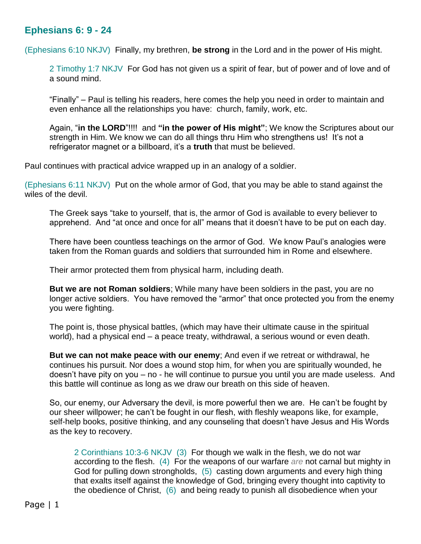## **Ephesians 6: 9 - 24**

(Ephesians 6:10 NKJV) Finally, my brethren, **be strong** in the Lord and in the power of His might.

2 Timothy 1:7 NKJV For God has not given us a spirit of fear, but of power and of love and of a sound mind.

"Finally" – Paul is telling his readers, here comes the help you need in order to maintain and even enhance all the relationships you have: church, family, work, etc.

Again, "**in the LORD**"!!!! and **"in the power of His might"**; We know the Scriptures about our strength in Him. We know we can do all things thru Him who strengthens us! It's not a refrigerator magnet or a billboard, it's a **truth** that must be believed.

Paul continues with practical advice wrapped up in an analogy of a soldier.

(Ephesians 6:11 NKJV) Put on the whole armor of God, that you may be able to stand against the wiles of the devil.

The Greek says "take to yourself, that is, the armor of God is available to every believer to apprehend. And "at once and once for all" means that it doesn't have to be put on each day.

There have been countless teachings on the armor of God. We know Paul's analogies were taken from the Roman guards and soldiers that surrounded him in Rome and elsewhere.

Their armor protected them from physical harm, including death.

**But we are not Roman soldiers**; While many have been soldiers in the past, you are no longer active soldiers. You have removed the "armor" that once protected you from the enemy you were fighting.

The point is, those physical battles, (which may have their ultimate cause in the spiritual world), had a physical end – a peace treaty, withdrawal, a serious wound or even death.

**But we can not make peace with our enemy**; And even if we retreat or withdrawal, he continues his pursuit. Nor does a wound stop him, for when you are spiritually wounded, he doesn't have pity on you – no - he will continue to pursue you until you are made useless. And this battle will continue as long as we draw our breath on this side of heaven.

So, our enemy, our Adversary the devil, is more powerful then we are. He can't be fought by our sheer willpower; he can't be fought in our flesh, with fleshly weapons like, for example, self-help books, positive thinking, and any counseling that doesn't have Jesus and His Words as the key to recovery.

2 Corinthians 10:3-6 NKJV (3) For though we walk in the flesh, we do not war according to the flesh. (4) For the weapons of our warfare *are* not carnal but mighty in God for pulling down strongholds, (5) casting down arguments and every high thing that exalts itself against the knowledge of God, bringing every thought into captivity to the obedience of Christ, (6) and being ready to punish all disobedience when your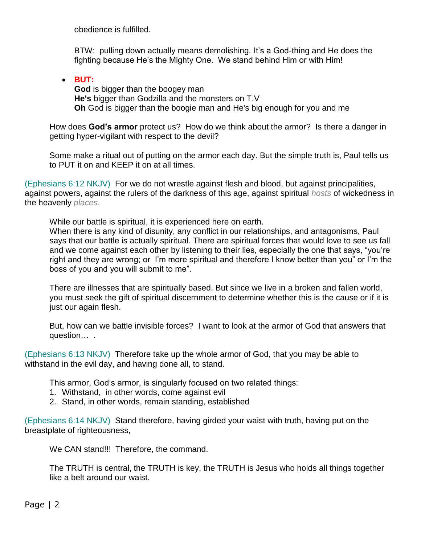obedience is fulfilled.

BTW: pulling down actually means demolishing. It's a God-thing and He does the fighting because He's the Mighty One. We stand behind Him or with Him!

 **BUT: God** is bigger than the boogey man **He's** bigger than Godzilla and the monsters on T.V **Oh** God is bigger than the boogie man and He's big enough for you and me

How does **God's armor** protect us? How do we think about the armor? Is there a danger in getting hyper-vigilant with respect to the devil?

Some make a ritual out of putting on the armor each day. But the simple truth is, Paul tells us to PUT it on and KEEP it on at all times.

(Ephesians 6:12 NKJV) For we do not wrestle against flesh and blood, but against principalities, against powers, against the rulers of the darkness of this age, against spiritual *hosts* of wickedness in the heavenly *places.*

While our battle is spiritual, it is experienced here on earth.

When there is any kind of disunity, any conflict in our relationships, and antagonisms, Paul says that our battle is actually spiritual. There are spiritual forces that would love to see us fall and we come against each other by listening to their lies, especially the one that says, "you're right and they are wrong; or I'm more spiritual and therefore I know better than you" or I'm the boss of you and you will submit to me".

There are illnesses that are spiritually based. But since we live in a broken and fallen world, you must seek the gift of spiritual discernment to determine whether this is the cause or if it is just our again flesh.

But, how can we battle invisible forces? I want to look at the armor of God that answers that question… .

(Ephesians 6:13 NKJV) Therefore take up the whole armor of God, that you may be able to withstand in the evil day, and having done all, to stand.

This armor, God's armor, is singularly focused on two related things:

- 1. Withstand, in other words, come against evil
- 2. Stand, in other words, remain standing, established

(Ephesians 6:14 NKJV) Stand therefore, having girded your waist with truth, having put on the breastplate of righteousness,

We CAN stand!!! Therefore, the command.

The TRUTH is central, the TRUTH is key, the TRUTH is Jesus who holds all things together like a belt around our waist.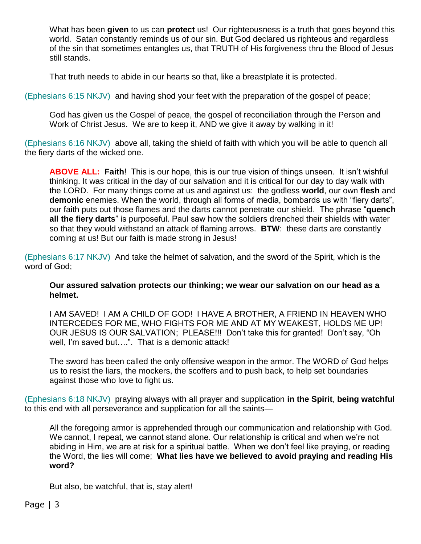What has been **given** to us can **protect** us! Our righteousness is a truth that goes beyond this world. Satan constantly reminds us of our sin. But God declared us righteous and regardless of the sin that sometimes entangles us, that TRUTH of His forgiveness thru the Blood of Jesus still stands.

That truth needs to abide in our hearts so that, like a breastplate it is protected.

(Ephesians 6:15 NKJV) and having shod your feet with the preparation of the gospel of peace;

God has given us the Gospel of peace, the gospel of reconciliation through the Person and Work of Christ Jesus. We are to keep it, AND we give it away by walking in it!

(Ephesians 6:16 NKJV) above all, taking the shield of faith with which you will be able to quench all the fiery darts of the wicked one.

**ABOVE ALL: Faith**! This is our hope, this is our true vision of things unseen. It isn't wishful thinking. It was critical in the day of our salvation and it is critical for our day to day walk with the LORD. For many things come at us and against us: the godless **world**, our own **flesh** and **demonic** enemies. When the world, through all forms of media, bombards us with "fiery darts", our faith puts out those flames and the darts cannot penetrate our shield. The phrase "**quench all the fiery darts**" is purposeful. Paul saw how the soldiers drenched their shields with water so that they would withstand an attack of flaming arrows. **BTW**: these darts are constantly coming at us! But our faith is made strong in Jesus!

(Ephesians 6:17 NKJV) And take the helmet of salvation, and the sword of the Spirit, which is the word of God;

**Our assured salvation protects our thinking; we wear our salvation on our head as a helmet.** 

I AM SAVED! I AM A CHILD OF GOD! I HAVE A BROTHER, A FRIEND IN HEAVEN WHO INTERCEDES FOR ME, WHO FIGHTS FOR ME AND AT MY WEAKEST, HOLDS ME UP! OUR JESUS IS OUR SALVATION; PLEASE!!! Don't take this for granted! Don't say, "Oh well, I'm saved but….". That is a demonic attack!

The sword has been called the only offensive weapon in the armor. The WORD of God helps us to resist the liars, the mockers, the scoffers and to push back, to help set boundaries against those who love to fight us.

(Ephesians 6:18 NKJV) praying always with all prayer and supplication **in the Spirit**, **being watchful** to this end with all perseverance and supplication for all the saints—

All the foregoing armor is apprehended through our communication and relationship with God. We cannot, I repeat, we cannot stand alone. Our relationship is critical and when we're not abiding in Him, we are at risk for a spiritual battle. When we don't feel like praying, or reading the Word, the lies will come; **What lies have we believed to avoid praying and reading His word?**

But also, be watchful, that is, stay alert!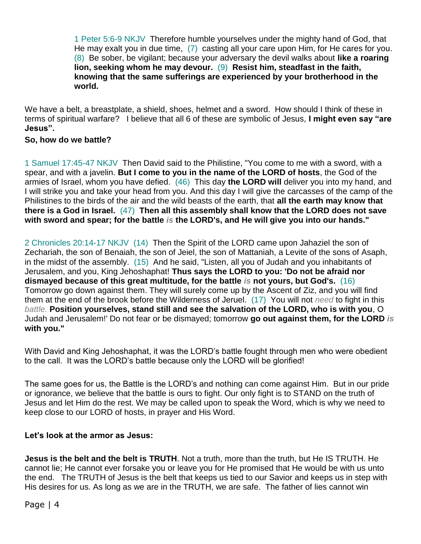1 Peter 5:6-9 NKJV Therefore humble yourselves under the mighty hand of God, that He may exalt you in due time, (7) casting all your care upon Him, for He cares for you. (8) Be sober, be vigilant; because your adversary the devil walks about **like a roaring lion, seeking whom he may devour.** (9) **Resist him, steadfast in the faith, knowing that the same sufferings are experienced by your brotherhood in the world.**

We have a belt, a breastplate, a shield, shoes, helmet and a sword. How should I think of these in terms of spiritual warfare? I believe that all 6 of these are symbolic of Jesus, **I might even say "are Jesus".**

## **So, how do we battle?**

1 Samuel 17:45-47 NKJV Then David said to the Philistine, "You come to me with a sword, with a spear, and with a javelin. **But I come to you in the name of the LORD of hosts**, the God of the armies of Israel, whom you have defied. (46) This day **the LORD will** deliver you into my hand, and I will strike you and take your head from you. And this day I will give the carcasses of the camp of the Philistines to the birds of the air and the wild beasts of the earth, that **all the earth may know that there is a God in Israel.** (47) **Then all this assembly shall know that the LORD does not save with sword and spear; for the battle** *is* **the LORD's, and He will give you into our hands."**

2 Chronicles 20:14-17 NKJV (14) Then the Spirit of the LORD came upon Jahaziel the son of Zechariah, the son of Benaiah, the son of Jeiel, the son of Mattaniah, a Levite of the sons of Asaph, in the midst of the assembly. (15) And he said, "Listen, all you of Judah and you inhabitants of Jerusalem, and you, King Jehoshaphat! **Thus says the LORD to you: 'Do not be afraid nor dismayed because of this great multitude, for the battle** *is* **not yours, but God's.** (16) Tomorrow go down against them. They will surely come up by the Ascent of Ziz, and you will find them at the end of the brook before the Wilderness of Jeruel. (17) You will not *need* to fight in this *battle.* **Position yourselves, stand still and see the salvation of the LORD, who is with you**, O Judah and Jerusalem!' Do not fear or be dismayed; tomorrow **go out against them, for the LORD** *is* **with you."**

With David and King Jehoshaphat, it was the LORD's battle fought through men who were obedient to the call. It was the LORD's battle because only the LORD will be glorified!

The same goes for us, the Battle is the LORD's and nothing can come against Him. But in our pride or ignorance, we believe that the battle is ours to fight. Our only fight is to STAND on the truth of Jesus and let Him do the rest. We may be called upon to speak the Word, which is why we need to keep close to our LORD of hosts, in prayer and His Word.

## **Let's look at the armor as Jesus:**

**Jesus is the belt and the belt is TRUTH**. Not a truth, more than the truth, but He IS TRUTH. He cannot lie; He cannot ever forsake you or leave you for He promised that He would be with us unto the end. The TRUTH of Jesus is the belt that keeps us tied to our Savior and keeps us in step with His desires for us. As long as we are in the TRUTH, we are safe. The father of lies cannot win

Page | 4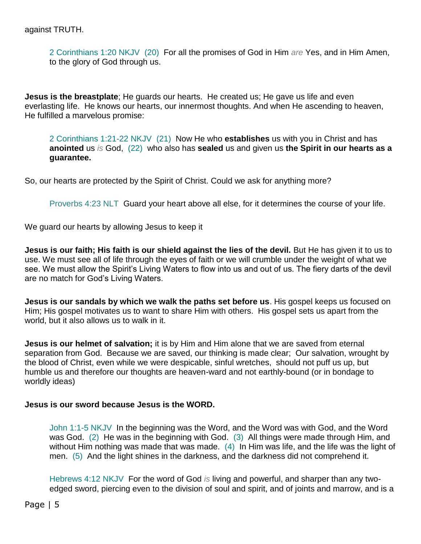against TRUTH.

2 Corinthians 1:20 NKJV (20) For all the promises of God in Him *are* Yes, and in Him Amen, to the glory of God through us.

**Jesus is the breastplate**; He guards our hearts. He created us; He gave us life and even everlasting life. He knows our hearts, our innermost thoughts. And when He ascending to heaven, He fulfilled a marvelous promise:

2 Corinthians 1:21-22 NKJV (21) Now He who **establishes** us with you in Christ and has **anointed** us *is* God, (22) who also has **sealed** us and given us **the Spirit in our hearts as a guarantee.**

So, our hearts are protected by the Spirit of Christ. Could we ask for anything more?

Proverbs 4:23 NLT Guard your heart above all else, for it determines the course of your life.

We guard our hearts by allowing Jesus to keep it

**Jesus is our faith; His faith is our shield against the lies of the devil.** But He has given it to us to use. We must see all of life through the eyes of faith or we will crumble under the weight of what we see. We must allow the Spirit's Living Waters to flow into us and out of us. The fiery darts of the devil are no match for God's Living Waters.

**Jesus is our sandals by which we walk the paths set before us**. His gospel keeps us focused on Him; His gospel motivates us to want to share Him with others. His gospel sets us apart from the world, but it also allows us to walk in it.

**Jesus is our helmet of salvation;** it is by Him and Him alone that we are saved from eternal separation from God. Because we are saved, our thinking is made clear; Our salvation, wrought by the blood of Christ, even while we were despicable, sinful wretches, should not puff us up, but humble us and therefore our thoughts are heaven-ward and not earthly-bound (or in bondage to worldly ideas)

## **Jesus is our sword because Jesus is the WORD.**

John 1:1-5 NKJV In the beginning was the Word, and the Word was with God, and the Word was God. (2) He was in the beginning with God. (3) All things were made through Him, and without Him nothing was made that was made. (4) In Him was life, and the life was the light of men. (5) And the light shines in the darkness, and the darkness did not comprehend it.

Hebrews 4:12 NKJV For the word of God *is* living and powerful, and sharper than any twoedged sword, piercing even to the division of soul and spirit, and of joints and marrow, and is a

Page | 5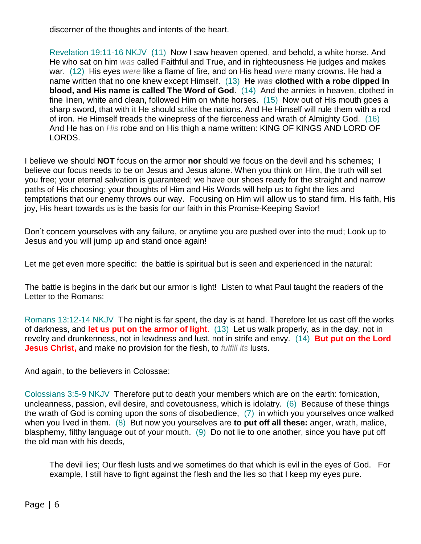discerner of the thoughts and intents of the heart.

Revelation 19:11-16 NKJV (11) Now I saw heaven opened, and behold, a white horse. And He who sat on him *was* called Faithful and True, and in righteousness He judges and makes war. (12) His eyes *were* like a flame of fire, and on His head *were* many crowns. He had a name written that no one knew except Himself. (13) **He** *was* **clothed with a robe dipped in blood, and His name is called The Word of God**. (14) And the armies in heaven, clothed in fine linen, white and clean, followed Him on white horses. (15) Now out of His mouth goes a sharp sword, that with it He should strike the nations. And He Himself will rule them with a rod of iron. He Himself treads the winepress of the fierceness and wrath of Almighty God. (16) And He has on *His* robe and on His thigh a name written: KING OF KINGS AND LORD OF LORDS.

I believe we should **NOT** focus on the armor **nor** should we focus on the devil and his schemes; I believe our focus needs to be on Jesus and Jesus alone. When you think on Him, the truth will set you free; your eternal salvation is guaranteed; we have our shoes ready for the straight and narrow paths of His choosing; your thoughts of Him and His Words will help us to fight the lies and temptations that our enemy throws our way. Focusing on Him will allow us to stand firm. His faith, His joy, His heart towards us is the basis for our faith in this Promise-Keeping Savior!

Don't concern yourselves with any failure, or anytime you are pushed over into the mud; Look up to Jesus and you will jump up and stand once again!

Let me get even more specific: the battle is spiritual but is seen and experienced in the natural:

The battle is begins in the dark but our armor is light! Listen to what Paul taught the readers of the Letter to the Romans:

Romans 13:12-14 NKJV The night is far spent, the day is at hand. Therefore let us cast off the works of darkness, and **let us put on the armor of light**. (13) Let us walk properly, as in the day, not in revelry and drunkenness, not in lewdness and lust, not in strife and envy. (14) **But put on the Lord Jesus Christ,** and make no provision for the flesh, to *fulfill its* lusts.

And again, to the believers in Colossae:

Colossians 3:5-9 NKJV Therefore put to death your members which are on the earth: fornication, uncleanness, passion, evil desire, and covetousness, which is idolatry. (6) Because of these things the wrath of God is coming upon the sons of disobedience, (7) in which you yourselves once walked when you lived in them. (8) But now you yourselves are **to put off all these:** anger, wrath, malice, blasphemy, filthy language out of your mouth. (9) Do not lie to one another, since you have put off the old man with his deeds,

The devil lies; Our flesh lusts and we sometimes do that which is evil in the eyes of God. For example, I still have to fight against the flesh and the lies so that I keep my eyes pure.